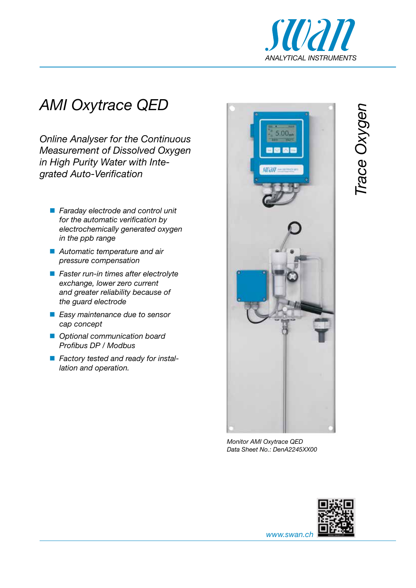

# *AMI Oxytrace QED*

*Online Analyser for the Continuous Measurement of Dissolved Oxygen in High Purity Water with Integrated Auto-Verification*

- *Faraday electrode and control unit for the automatic verification by electrochemically generated oxygen in the ppb range*
- *Automatic temperature and air pressure compensation*
- *Faster run-in times after electrolyte exchange, lower zero current and greater reliability because of the guard electrode*
- *Easy maintenance due to sensor cap concept*
- *Optional communication board Profibus DP / Modbus*
- *Factory tested and ready for installation and operation.*



*Monitor AMI Oxytrace QED Data Sheet No.: DenA2245XX00*



*Trace Oxygen* Trace Oxygen

*www.swan.ch*